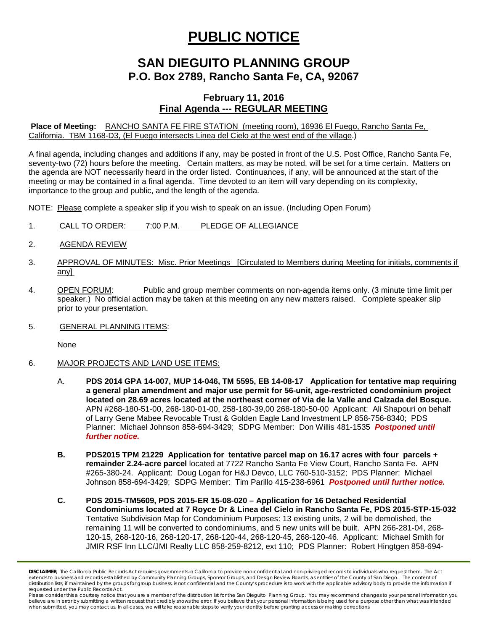## **PUBLIC NOTICE**

## **SAN DIEGUITO PLANNING GROUP P.O. Box 2789, Rancho Santa Fe, CA, 92067**

## **February 11, 2016 Final Agenda --- REGULAR MEETING**

**Place of Meeting:** RANCHO SANTA FE FIRE STATION (meeting room), 16936 El Fuego, Rancho Santa Fe, California. TBM 1168-D3, (El Fuego intersects Linea del Cielo at the west end of the village.)

A final agenda, including changes and additions if any, may be posted in front of the U.S. Post Office, Rancho Santa Fe, seventy-two (72) hours before the meeting. Certain matters, as may be noted, will be set for a time certain. Matters on the agenda are NOT necessarily heard in the order listed. Continuances, if any, will be announced at the start of the meeting or may be contained in a final agenda. Time devoted to an item will vary depending on its complexity, importance to the group and public, and the length of the agenda.

NOTE: Please complete a speaker slip if you wish to speak on an issue. (Including Open Forum)

- 1. CALL TO ORDER: 7:00 P.M. PLEDGE OF ALLEGIANCE
- 2. AGENDA REVIEW
- 3. APPROVAL OF MINUTES: Misc. Prior Meetings [Circulated to Members during Meeting for initials, comments if any]
- 4. OPEN FORUM: Public and group member comments on non-agenda items only. (3 minute time limit per speaker.) No official action may be taken at this meeting on any new matters raised. Complete speaker slip prior to your presentation.
- 5. GENERAL PLANNING ITEMS:

None

- 6. MAJOR PROJECTS AND LAND USE ITEMS:
	- A. **PDS 2014 GPA 14-007, MUP 14-046, TM 5595, EB 14-08-17 Application for tentative map requiring a general plan amendment and major use permit for 56-unit, age-restricted condominium project located on 28.69 acres located at the northeast corner of Via de la Valle and Calzada del Bosque.**  APN #268-180-51-00, 268-180-01-00, 258-180-39,00 268-180-50-00 Applicant: Ali Shapouri on behalf of Larry Gene Mabee Revocable Trust & Golden Eagle Land Investment LP 858-756-8340; PDS Planner: Michael Johnson 858-694-3429; SDPG Member: Don Willis 481-1535 *Postponed until further notice.*
	- **B. PDS2015 TPM 21229 Application for tentative parcel map on 16.17 acres with four parcels + remainder 2.24-acre parcel** located at 7722 Rancho Santa Fe View Court, Rancho Santa Fe. APN #265-380-24. Applicant: Doug Logan for H&J Devco, LLC 760-510-3152; PDS Planner: Michael Johnson 858-694-3429; SDPG Member: Tim Parillo 415-238-6961 *Postponed until further notice.*
	- **C. PDS 2015-TM5609, PDS 2015-ER 15-08-020 – Application for 16 Detached Residential Condominiums located at 7 Royce Dr & Linea del Cielo in Rancho Santa Fe, PDS 2015-STP-15-032** Tentative Subdivision Map for Condominium Purposes: 13 existing units, 2 will be demolished, the remaining 11 will be converted to condominiums, and 5 new units will be built. APN 266-281-04, 268- 120-15, 268-120-16, 268-120-17, 268-120-44, 268-120-45, 268-120-46. Applicant: Michael Smith for JMIR RSF Inn LLC/JMI Realty LLC 858-259-8212, ext 110; PDS Planner: Robert Hingtgen 858-694-

*DISCLAIMER; The California Public Records Act requires governments in California to provide non-confidential and non-privileged records to individuals who request them. The Act*  extends to business and records established by Community Planning Groups, Sponsor Groups, and Design Review Boards, as entities of the County of San Diego. The content of distribution lists, if maintained by the groups for group business, is not confidential and the County's procedure is to work with the applicable advisory body to provide the information if *requested under the Public Records Act.*

*Please consider this a courtesy notice that you are a member of the distribution list for the San Dieguito Planning Group. You may recommend changes to your personal information you*  believe are in error by submitting a written request that credibly shows the error. If you believe that your personal information is being used for a purpose other than what was intended<br>when submitted, you may contact us.